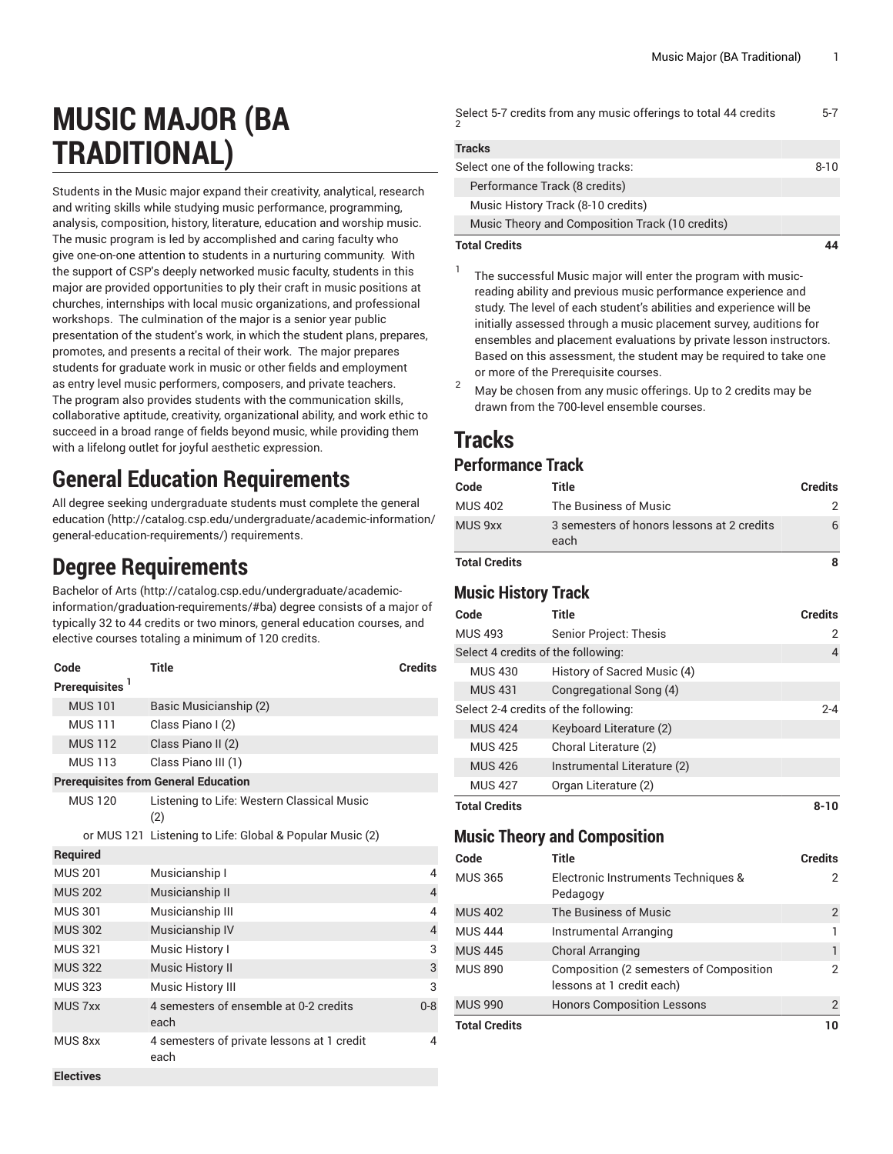| <b>MUSIC MAJOR (BA</b> |  |
|------------------------|--|
| <b>TRADITIONAL)</b>    |  |

Students in the Music major expand their creativity, analytical, research and writing skills while studying music performance, programming, analysis, composition, history, literature, education and worship music. The music program is led by accomplished and caring faculty who give one-on-one attention to students in a nurturing community. With the support of CSP's deeply networked music faculty, students in this major are provided opportunities to ply their craft in music positions at churches, internships with local music organizations, and professional workshops. The culmination of the major is a senior year public presentation of the student's work, in which the student plans, prepares, promotes, and presents a recital of their work. The major prepares students for graduate work in music or other fields and employment as entry level music performers, composers, and private teachers. The program also provides students with the communication skills, collaborative aptitude, creativity, organizational ability, and work ethic to succeed in a broad range of fields beyond music, while providing them with a lifelong outlet for joyful aesthetic expression.

## **General Education Requirements**

All degree seeking undergraduate students must complete the [general](http://catalog.csp.edu/undergraduate/academic-information/general-education-requirements/) [education \(http://catalog.csp.edu/undergraduate/academic-information/](http://catalog.csp.edu/undergraduate/academic-information/general-education-requirements/) [general-education-requirements/\)](http://catalog.csp.edu/undergraduate/academic-information/general-education-requirements/) requirements.

## **Degree Requirements**

[Bachelor](http://catalog.csp.edu/undergraduate/academic-information/graduation-requirements/#ba) of Arts ([http://catalog.csp.edu/undergraduate/academic](http://catalog.csp.edu/undergraduate/academic-information/graduation-requirements/#ba)[information/graduation-requirements/#ba](http://catalog.csp.edu/undergraduate/academic-information/graduation-requirements/#ba)) degree consists of a major of typically 32 to 44 credits or two minors, general education courses, and elective courses totaling a minimum of 120 credits.

| Code                       | Title                                                    | <b>Credits</b> |
|----------------------------|----------------------------------------------------------|----------------|
| Prerequisites <sup>1</sup> |                                                          |                |
| <b>MUS 101</b>             | Basic Musicianship (2)                                   |                |
| <b>MUS 111</b>             | Class Piano I (2)                                        |                |
| <b>MUS 112</b>             | Class Piano II (2)                                       |                |
| <b>MUS 113</b>             | Class Piano III (1)                                      |                |
|                            | <b>Prerequisites from General Education</b>              |                |
| <b>MUS 120</b>             | Listening to Life: Western Classical Music<br>(2)        |                |
|                            | or MUS 121 Listening to Life: Global & Popular Music (2) |                |
| <b>Required</b>            |                                                          |                |
| <b>MUS 201</b>             | Musicianship I                                           | 4              |
| <b>MUS 202</b>             | Musicianship II                                          | $\overline{4}$ |
| <b>MUS 301</b>             | Musicianship III                                         | 4              |
| <b>MUS 302</b>             | Musicianship IV                                          | $\overline{4}$ |
| <b>MUS 321</b>             | Music History I                                          | 3              |
| <b>MUS 322</b>             | <b>Music History II</b>                                  | $\mathsf{3}$   |
| <b>MUS 323</b>             | <b>Music History III</b>                                 | 3              |
| <b>MUS 7xx</b>             | 4 semesters of ensemble at 0-2 credits<br>each           | $0 - 8$        |
| MUS <sub>8xx</sub>         | 4 semesters of private lessons at 1 credit<br>each       | 4              |
| <b>Electives</b>           |                                                          |                |

| <b>Total Credits</b>                                            |         |
|-----------------------------------------------------------------|---------|
| Music Theory and Composition Track (10 credits)                 |         |
| Music History Track (8-10 credits)                              |         |
| Performance Track (8 credits)                                   |         |
| Select one of the following tracks:                             | 8-10    |
| <b>Tracks</b>                                                   |         |
| Select 5-7 credits from any music offerings to total 44 credits | $5 - 7$ |

- 1 The successful Music major will enter the program with musicreading ability and previous music performance experience and study. The level of each student's abilities and experience will be initially assessed through a music placement survey, auditions for ensembles and placement evaluations by private lesson instructors. Based on this assessment, the student may be required to take one or more of the Prerequisite courses.
- <sup>2</sup> May be chosen from any music offerings. Up to 2 credits may be drawn from the 700-level ensemble courses.

# **Tracks**

### **Performance Track**

| Code                 | Title                                              | <b>Credits</b> |
|----------------------|----------------------------------------------------|----------------|
| <b>MUS 402</b>       | The Business of Music                              |                |
| MUS 9xx              | 3 semesters of honors lessons at 2 credits<br>each |                |
| <b>Total Credits</b> |                                                    |                |

### **Music History Track**

| Code                               | <b>Title</b>                         | <b>Credits</b> |
|------------------------------------|--------------------------------------|----------------|
| <b>MUS 493</b>                     | Senior Project: Thesis               | 2              |
| Select 4 credits of the following: |                                      | 4              |
| <b>MUS 430</b>                     | History of Sacred Music (4)          |                |
| <b>MUS 431</b>                     | Congregational Song (4)              |                |
|                                    | Select 2-4 credits of the following: | $2 - 4$        |
| <b>MUS 424</b>                     | Keyboard Literature (2)              |                |
| <b>MUS 425</b>                     | Choral Literature (2)                |                |
| <b>MUS 426</b>                     | Instrumental Literature (2)          |                |
| <b>MUS 427</b>                     | Organ Literature (2)                 |                |
| <b>Total Credits</b>               |                                      | $8 - 10$       |

#### **Music Theory and Composition**

| Code                 | Title                                                                | <b>Credits</b> |
|----------------------|----------------------------------------------------------------------|----------------|
| <b>MUS 365</b>       | Electronic Instruments Techniques &<br>Pedagogy                      | 2              |
| <b>MUS 402</b>       | The Business of Music                                                | 2              |
| <b>MUS 444</b>       | Instrumental Arranging                                               |                |
| <b>MUS 445</b>       | <b>Choral Arranging</b>                                              | 1              |
| MUS 890              | Composition (2 semesters of Composition<br>lessons at 1 credit each) | 2              |
| <b>MUS 990</b>       | <b>Honors Composition Lessons</b>                                    | 2              |
| <b>Total Credits</b> |                                                                      | 10             |